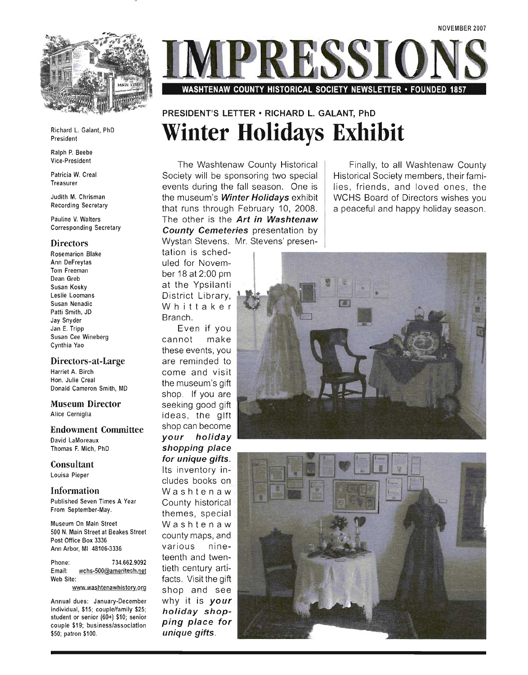

Richard L. Galant, PhD President

Ralph P. Beebe Vice-President

Patricia W. Creal Treasurer

Judith M. Chrisman Recording Secretary

Pauline V. Walters Corresponding Secretary

#### **Directors**

Rosemarion Blake Ann DeFreytas Tom Freeman Dean Greb Susan Kosky Leslie Loomans Susan Nenadic Patti Smith, JD Jay Snyder Jan E. Tripp Susan Cee Wineberg Cynthia Yao

#### **Directors-at -Large**

Harriet A. Birch Hon. Julie Creal Donald Cameron Smith, MD

#### **Museum Director**  Alice Cerniglia

**Endowment Committee** 

David LaMoreaux Thomas F. Mich, PhD

**Consultant**  Louisa Pieper

**Information**  Published Seven Times A Year From September-May.

Museum On Main Street 500 N. Main Street at Beakes Street Post Office Box 3336 Ann Arbor, MI 48106-3336

Phone: 734.662.9092 Email: wchs-SOO@ameritech.net Web Site:

www.washtenawhistory.org

Annual dues: January-December individual, \$15; couple/family \$25; student or senior (60+) \$10; senior couple \$19; business/association \$50; patron \$100.



### WASHTENAW COUNTY HISTORICAL SOCIETY NEWSLETTER • FOUNDED

## **PRESIDENT'S LETTER • RICHARD L. GALANT, PhD Winter Holidays Exhibit**

The Washtenaw County Historical Society will be sponsoring two special events during the fall season. One is the museum's **Winter Holidays** exhibit that runs through February 10, 2008. The other is the **Art in Washtenaw County Cemeteries** presentation by Wystan Stevens. Mr. Stevens' presen-

Finally, to all Washtenaw County Historical Society members, their families, friends, and loved ones, the WCHS Board of Directors wishes you a peaceful and happy holiday season.

tation is scheduled for November 18 at 2:00 pm at the Ypsilanti District Library, Whittaker Branch.

Even if you cannot make these events, you are reminded to come and visit the museum's gift shop. If you are seeking good gift ideas, the glft shop can become **your holiday shopping place for unique gifts.**  Its inventory includes books on Washtenaw County historical themes, special Washtenaw county maps, and various nineteenth and twentieth century artifacts. Visit the gift shop and see why it is **your**  *holiday shop***ping place for unique gifts.** 



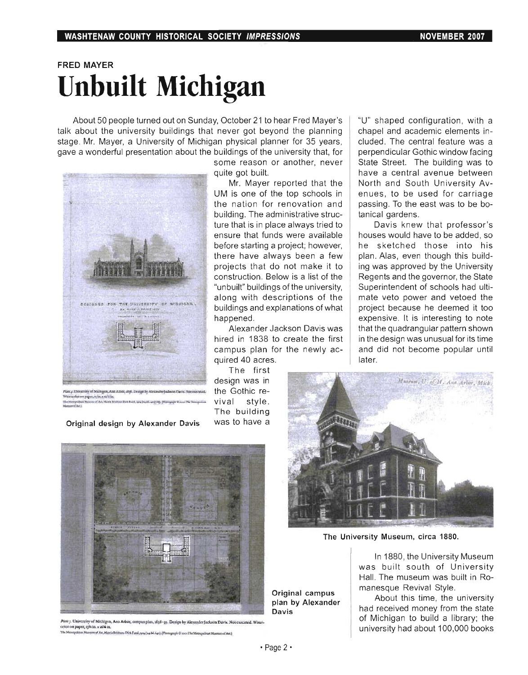## FRED MAYER **Unbuilt Michigan**

About 50 people turned out on Sunday, October 21 to hear Fred Mayer's talk about the university buildings that never got beyond the planning stage. Mr. Mayer, a University of Michigan physical planner for 35 years, gave a wonderful presentation about the buildings of the university that, for



 $\kappa_r$ . University of Michigan, Ann Athor, dyff. Design by Alexander Jackson Dirvic. Not executed.  ${\ }$  the <code>Gothic re-</mark><br>recolut on paper, xj in, x to S in:</code> W.rl'rcoIorOClP¥' fJiA,.l\tO~1n. :::::.:;-.\_., .......... \_,.. .... \_ .............. \_.\_n.\_ vival style .

Original design by Alexander Davis was to have a

some reason or another, never quite got built.

Mr. Mayer reported that the UM is one of the top schools in the nation for renovation and building. The administrative structure that is in place always tried to ensure that funds were available before starting a project; however, there have always been a few projects that do not make it to construction. Below is a list of the "unbuilt" buildings of the university, along with descriptions of the buildings and explanations of what happened.

Alexander Jackson Davis was hired in 1838 to create the first campus plan for the newly acquired 40 acres.

The first design was in The building

"U" shaped configuration, with a chapel and academic elements included. The central feature was a perpendicular Gothic window facing State Street. The building was to have a central avenue between North and South University Avenues, to be used for carriage passing. To the east was to be botanical gardens.

Davis knew that professor's houses would have to be added, so he sketched those into his plan. Alas, even though this building was approved by the University Regents and the governor, the State Superintendent of schools had ultimate veto power and vetoed the project because he deemed it too expensive. It is interesting to note that the quadrangular pattern shown in the design was unusual for its time and did not become popular until later.



The University Museum, circa 1880.

In 1880, the University Museum was built south of University Hall. The museum was built in Romanesque Revival Style.

About this time, the university had received money from the state of Michigan to build a library; the university had about 100,000 books



*Plate J. University of Michigan, Ann Arbor, campus plan.* 1838-39. Design by Alexander Jackson Davis. Not executed. Watercolor on paper, ryli in. x 16% in

im of An, Hards Brisbaro Dick Fund, 1924 (24.66.640). (Photograph © 2001 The Metropolitan Museum of Art.)

Davis

Original campus plan by Alexander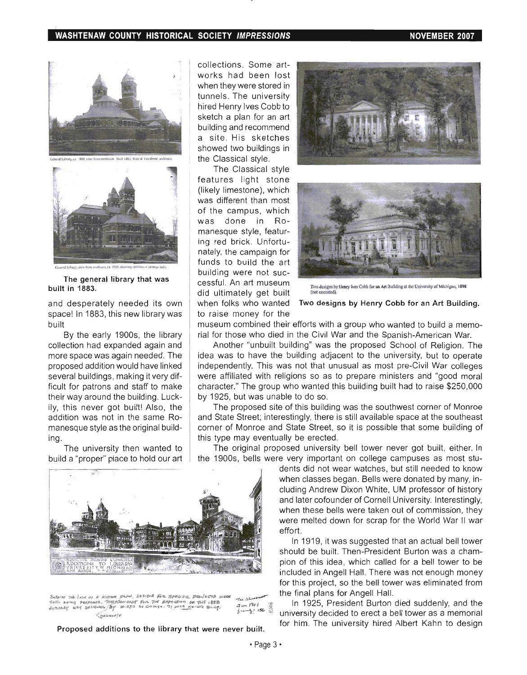#### WASHTENAW COUNTY HISTORICAL SOCIETY IMPRESSIONS NOTED THE RESOLUTION OF A RESOLUTION OF A RESOLUTION OF A RESOLUTION



out. Built 1987, Way & Van Revert anchilto



The general library that was built in 1883.

and desperately needed its own space! In 1883, this new library was built

By the early 1900s, the library collection had expanded again and more space was again needed. The proposed addition would have linked several buildings, making it very difficult for patrons and staff to make their way around the building. Luckily, this never got built! Also, the addition was not in the same Romanesque style as the original building.

The university then wanted to build a "proper" place to hold our art



~'16 :nOJ~q,. ,.+1""",~, ll~t,t;'N. 1Il. ;Sf'~<:' FI' p • ...,.~~ ... ""1..c.A .J l.~ s"u... e .. r~lf '1'lCAptMiD . -"j~~~ ,.~ 11"'" 1I.".<tISI.~ <sup>U</sup>"1JoIE 1"",\$ *r., 'S'*  STILL BEING PERPARED, THEREOW DEPT FOR THE APPROXICAL EXTRA SEE TO THE 1848 THE 1848 .<br>A context wes besidence for w.chs of changes, it was Never Built. Journal 1866 .  $<sub>spin</sub>$ <sub>une</sub></sub>

Proposed additions to the library that were never built.

collections. Some artworks had been lost when they were stored in tunnels. The university hired Henry Ives Cobb to sketch a plan for an art building and recommend a site. His sketches showed two buildings in the Classical style.

The Classical style features light stone (likely limestone), which was different than most of the campus, which was done in Romanesque style, featuring red brick. Unfortunately, the campaign for funds to build the art building were not successful. An art museum did ultimately get built when folks who wanted Two designs by Henry Cobb for an Art Building. to raise money for the





ve designs by Henry Ives Cobb for an Art Building at the University of Michigan. 1898

museum combined their efforts with a group who wanted to build a memorial for those who died in the Civil War and the Spanish-American War.

Another "unbuilt building" was the proposed School of Religion. The idea was to have the building adjacent to the university, but to operate independently. This was not that unusual as most pre-Civil War colleges were affiliated with religions so as to prepare ministers and "good moral character." The group who wanted this building built had to raise \$250,000 by 1925, but was unable to do so.

The proposed site of this building was the southwest corner of Monroe and State Street; interestingly, there is still available space at the southeast corner of Monroe and State Street, so it is possible that some building of this type may eventually be erected.

The original proposed university bell tower never got built, either. In the 1900s, bells were very important on college campuses as most stu-

> dents did not wear watches, but still needed to know when classes began. Bells were donated by many, including Andrew Dixon White, UM professor of history and later cofounder of Cornell University. Interestingly, when these bells were taken out of commission, they were melted down for scrap for the World War II war effort.

> In 1919, it was suggested that an actual bell tower should be built. Then-President Burton was a champion of this idea, which called for a bell tower to be included in Angell Hall. There was not enough money for this project, so the bell tower was eliminated from the final plans for Angell Hall.

> In 1925, President Burton died suddenly, and the university decided to erect a bell tower as a memorial for him. The university hired Albert Kahn to design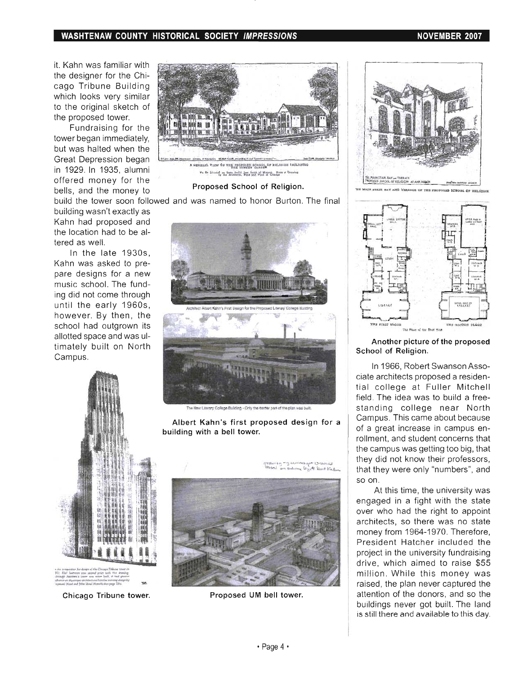#### **WASHTENAW COUNTY HISTORICAL SOCIETY IMPRESSIONS NOVEMBER 2007**

it. Kahn was familiar with the designer for the Chicago Tribune Building which looks very similar to the original sketch of the proposed tower.

Fundraising for the tower began immediately, but was halted when the Great Depression began in 1929. In 1935, alumni offered money for the bells, and the money to **Proposed School of Religion.** 

building wasn't exactly as Kahn had proposed and the location had to be altered as well.

In the late 1930s, Kahn was asked to prepare designs for a new music school. The funding did not come through until the early 1960s, however. By then, the school had outgrown its allotted space and was ultimately built on North Campus.



build the tower soon followed and was named to honor Burton. The final



w New Literaty College Building - Only the center part of the clan was built

Albert Kahn's first proposed design for a building with a bell tower.



Chicago Tribune tower.



Proposed UM bell tower.



AND YEARACE OF THE PROPOSED SCHOOL OF RELIG



Another picture of the proposed School of Religion.

In 1966, Robert Swanson Associate architects proposed a residential college at Fuller Mitchell field. The idea was to build a freestanding college near North Campus. This came about because of a great increase in campus enrollment, and student concerns that the campus was getting too big, that they did not know their professors, that they were only "numbers", and so on .

At this time, the university was engaged in a fight with the state over who had the right to appoint architects, so there was no state money from 1964-1970. Therefore, President Hatcher included the project in the university fundraising drive, which aimed to raise \$55 million. While this money was raised, the plan never captured the attention of the donors, and so the buildings never got built. The land is still there and available to this day.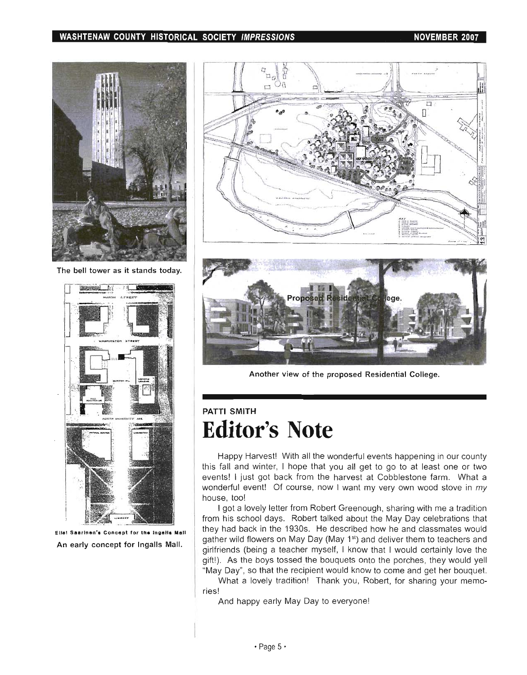### WASHTENAW COUNTY HISTORICAL SOCIETY IMPRESSIONS NOVEMBER 2007



The bell tower as it stands today.



Eliel Saarinen's Concept for the Ingalle Mall An early concept for Ingalls Mall.





Another view of the proposed Residential College.

## PATTI SMITH **Editor's Note**

Happy Harvest! With all the wonderful events happening in our county this fall and winter, I hope that you all get to go to at least one or two events! I just got back from the harvest at Cobblestone farm. What a wonderful event! Of course, now I want my very own wood stove in my house, too!

I got a lovely letter from Robert Greenough, sharing with me a tradition from his school days. Robert talked about the May Day celebrations that they had back in the 1930s. He described how he and classmates would gather wild flowers on May Day (May 1<sup>st</sup>) and deliver them to teachers and girlfriends (being a teacher myself, I know that I would certainly love the gift!). As the boys tossed the bouquets onto the porches, they would yell "May Day", so that the recipient would know to come and get her bouquet.

What a lovely tradition! Thank you, Robert, for sharing your memories!

And happy early May Day to everyone!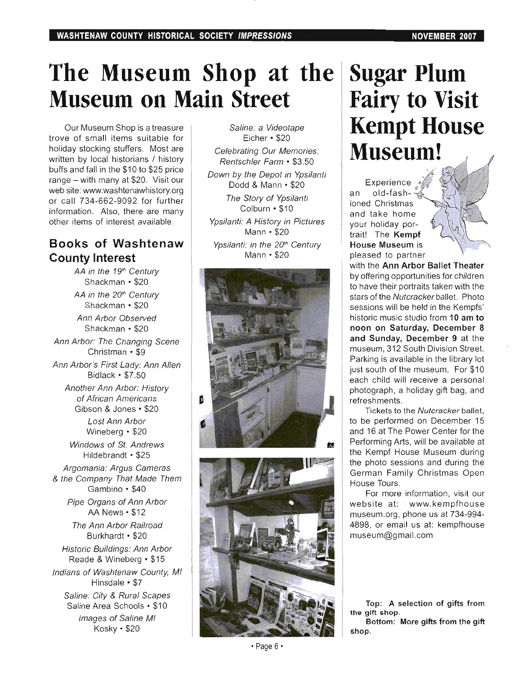# **The Museum Shop at the Museum on Main Street**

Our Museum Shop is a treasure trove of small items suitable for holiday stocking stuffers. Most are written by local historians / history buffs and fall in the \$10 to \$25 price range - with many at \$20. Visit our web site: www.washtenawhistory.org or call 734-662-9092 for further information. Also, there are many other items of interest available.

## **Books of Washtenaw County Interest**

AA in the 19<sup>th</sup> Century Shackman • \$20 AA in the 20<sup>th</sup> Century Shackman • \$20 Ann Arbor Observed Shackman • \$20 Ann Arbor: The Changing Scene Christman • \$9 Ann Arbor's First Lady: Ann Allen Bidlack • \$7.50 Another Ann Arbor: History of African Americans Gibson & Jones • \$20 Lost Ann Arbor Wineberg • \$20 Windows of St. Andrews Hildebrandt· \$25 Argomania: Argus Cameras & the Company That Made Them Gambino · \$40 Pipe Organs of Ann Arbor AA News • \$12 The Ann Arbor Railroad Burkhardt· \$20 Historic Buildings: Ann Arbor Reade & Wineberg • \$15 Indians of Washtenaw County, MI Hinsdale • \$7 Saline: City & Rural Scapes Saline Area Schools • \$10 Images of Saline MI Kosky · \$20

Saline: a Videotape  $Eicher \cdot $20$ Celebrating Our Memories: Rentschler Farm • \$3.50 Down by the Depot in Ypsilanti Dodd & Mann • \$20 The Story of Ypsilanti Colburn · \$10 Ypsilanti: A History in Pictures Mann· \$20 Ypsilanti: in the 20<sup>th</sup> Century Mann • \$20





# **Sugar Plum Fairy to Visit Kempt House Museum!**

Experience an old-fashioned Christmas and take home your holiday portrait! The **Kempf House Museum** is pleased to partner

with the **Ann Arbor Ballet Theater**  by offering opportunities for children to have their portraits taken with the stars of the Nutcracker ballet. Photo sessions will be held in the Kempfs' historic music studio from **10 am to noon on Saturday, December 8 and Sunday, December 9** at the museum, 312 South Division Street. Parking is available in the library lot just south of the museum. For \$10 each child will receive a personal photograph, a holiday gift bag, and refreshments.

Tickets to the Nutcracker ballet, to be performed on December 15 and 16 at The Power Center for the Performing Arts, will be available at the Kempf House Museum during the photo sessions and during the German Family Christmas Open House Tours.

For more information, visit our website at: www.kempfhouse museum.org, phone us at 734-994- 4898, or email us at: kempfhouse museum@gmail.com

**Top: A selection of gifts from the gift** shop.

**Bottom: More gifts from the gift**  shop.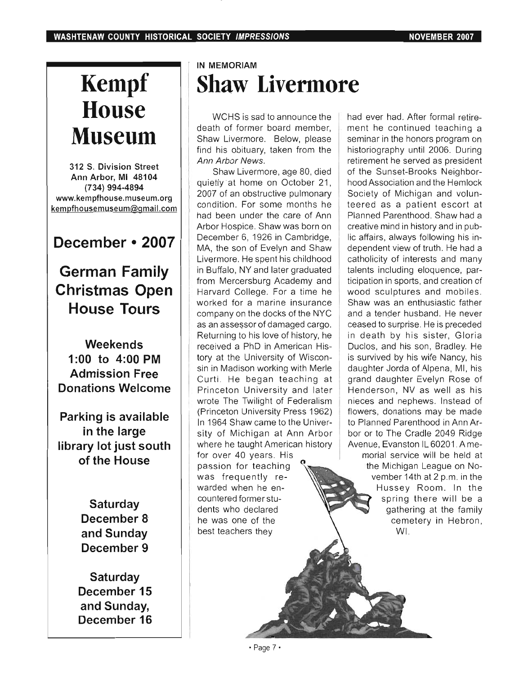# **Kempf House Museum**

**312 S. Division Street Ann Arbor, MI 48104 (734) 994-4894 www.kempfhouse.museum.org kempfhousemuseum@gmail.com** 

## **December • 2007**

**German Family Christmas Open House Tours** 

**Weekends 1 :00 to 4:00 PM Admission Free Donations Welcome** 

**Parking is available in the large library lot just south**  of the **House** 

> **Saturday December 8 and Sunday December 9**

**Saturday December 15 and Sunday, December 16** 

## **IN MEMORIAM Shaw Livermore**

WCHS is sad to announce the death of former board member, Shaw Livermore. Below, please find his obituary, taken from the Ann Arbor News.

Shaw Livermore, age 80, died quietly at home on October 21, 2007 of an obstructive pulmonary condition. For some months he had been under the care of Ann Arbor Hospice. Shaw was born on December 6, 1926 in Cambridge, MA, the son of Evelyn and Shaw Livermore. He spent his childhood in Buffalo, NY and later graduated from Mercersburg Academy and Harvard College. For a time he worked for a marine insurance company on the docks of the NYC as an assessor of damaged cargo. Returning to his love of history, he received a PhD in American History at the University of Wisconsin in Madison working with Merle Curti. He began teaching at Princeton University and later wrote The Twilight of Federalism (Princeton University Press 1962) In 1964 Shaw came to the University of Michigan at Ann Arbor where he taught American history for over 40 years. His passion for teaching was frequently rewarded when he encountered former students who declared he was one of the best teachers they

had ever had. After formal retirement he continued teaching a seminar in the honors program on historiography until 2006. During retirement he served as president of the Sunset-Brooks Neighborhood Association and the Hemlock Society of Michigan and volunteered as a patient escort at Planned Parenthood. Shaw had a creative mind in history and in public affairs, always following his independent view of truth. He had a catholicity of interests and many talents including eloquence, participation in sports, and creation of wood sculptures and mobiles. Shaw was an enthusiastic father and a tender husband. He never ceased to surprise. He is preceded in death by his sister, Gloria Duclos, and his son, Bradley. He is survived by his wife Nancy, his daughter Jorda of Alpena, MI, his grand daughter Evelyn Rose of Henderson, NV as well as his nieces and nephews. Instead of flowers, donations may be made to Planned Parenthood in Ann Arbor or to The Cradle 2049 Ridge Avenue, Evanston IL 60201 . A memorial service will be held at the Michigan League on November 14th at 2 p.m. in the Hussey Room. In the spring there will be a gathering at the family cemetery in Hebron,

WI.

• Page 7·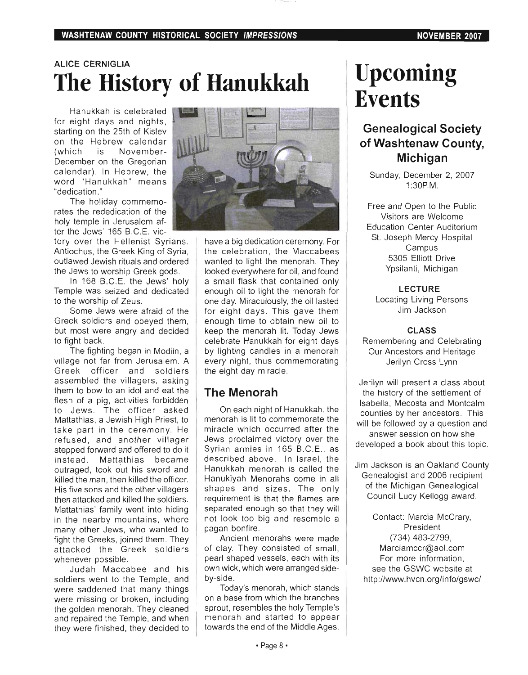## **ALICE CERNIGLIA The History of Hanukkah**

Hanukkah is celebrated for eight days and nights, starting on the 25th of Kislev on the Hebrew calendar (which is November-December on the Gregorian calendar). In Hebrew, the word "Hanukkah" means "dedication."

The holiday commemorates the rededication of the holy temple in Jerusalem after the Jews' 165 B.C.E. vic-

tory over the Hellenist Syrians. Antiochus, the Greek King of Syria, outlawed Jewish rituals and ordered the Jews to worship Greek gods.

In 168 B.C.E. the Jews' holy Temple was seized and dedicated to the worship of Zeus.

Some Jews were afraid of the Greek soldiers and obeyed them, but most were angry and decided to fight back.

The fighting began in Modiin, a village not far from Jerusalem. A Greek officer and soldiers assembled the villagers, asking them to bow to an idol and eat the flesh of a pig, activities forbidden to Jews. The officer asked Mattathias, a Jewish High Priest, to take part in the ceremony. He refused, and another villager stepped forward and offered to do it instead. Mattathias became outraged, took out his sword and killed the man, then killed the officer. His five sons and the other villagers then attacked and killed the soldiers. Mattathias' family went into hiding in the nearby mountains, where many other Jews, who wanted to fight the Greeks, joined them. They attacked the Greek soldiers whenever possible.

Judah Maccabee and his soldiers went to the Temple, and were saddened that many things were missing or broken, including the golden menorah. They cleaned and repaired the Temple, and when they were finished, they decided to



have a big dedication ceremony. For the celebration, the Maccabees wanted to light the menorah. They looked everywhere for oil, and found a small flask that contained only enough oil to light the menorah for one day. Miraculously, the oil lasted for eight days. This gave them enough time to obtain new oil to keep the menorah lit. Today Jews celebrate Hanukkah for eight days by lighting candles in a menorah every night, thus commemorating the eight day miracle.

## **The Menorah**

On each night of Hanukkah, the menorah is lit to commemorate the miracle which occurred after the Jews proclaimed victory over the Syrian armies in 165 B.C.E., as described above. In Israel, the Hanukkah menorah is called the Hanukiyah Menorahs come in all shapes and sizes. The only requirement is that the flames are separated enough so that they will not look too big and resemble a pagan bonfire.

Ancient menorahs were made of clay. They consisted of small, pearl shaped vessels, each with its own wick, which were arranged sideby-side.

Today's menorah, which stands on a base from which the branches sprout, resembles the holy Temple's menorah and started to appear towards the end of the Middle Ages.

# **Upcoming Events**

## **Genealogical Society of Washtenaw County, Michigan**

Sunday, December 2, 2007 1 :30P.M.

Free and Open to the Public Visitors are Welcome Education Center Auditorium St. Joseph Mercy Hospital Campus 5305 Elliott Drive Ypsilanti, Michigan

**LECTURE** 

Locating Living Persons Jim Jackson

**CLASS** 

Remembering and Celebrating Our Ancestors and Heritage Jerilyn Cross Lynn

Jerilyn will present a class about the history of the settlement of Isabella, Mecosta and Montcalm counties by her ancestors. This will be followed by a question and answer session on how she developed a book about this topic.

Jim Jackson is an Oakland County Genealogist and 2006 recipient of the Michigan Genealogical Council Lucy Kellogg award.

Contact: Marcia McCrary, President (734) 483-2799, Marciamccr@aol.com For more information, see the GSWC website at http://www.hvcn.org/info/gswc/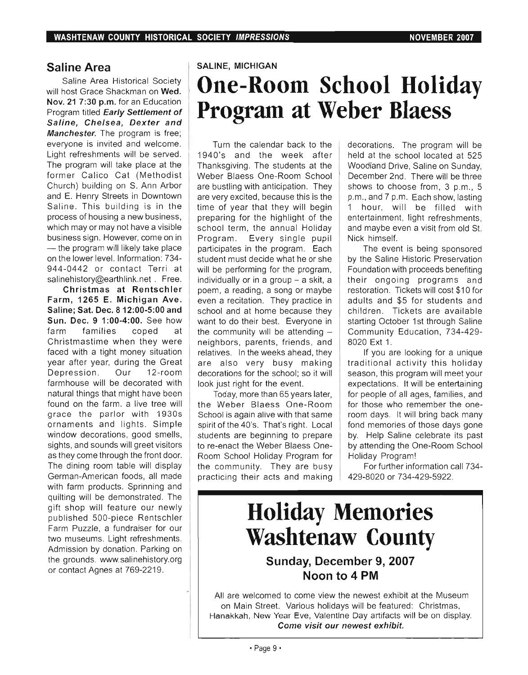## **Saline Area**

Saline Area Historical Society will host Grace Shackman on **Wed. Nov. 21 7:30 p.m.** for an Education Program titled **Early Settlement of Saline, Chelsea, Dexter and Manchester.** The program is free; everyone is invited and welcome. Light refreshments will be served. The program will take place at the former Calico Cat (Methodist Church) building on S. Ann Arbor and E. Henry Streets in Downtown Saline. This building is in the process of housing a new business, which may or may not have a visible business sign. However, come on in - the program will likely take place on the lower level. Information: 734- 944-0442 or contact Terri at salinehistory@earthlink.net. Free.

**Christmas at Rentschler Farm, 1265 E. Michigan Ave. Saline; Sat. Dec. 8 12:00·5:00 and Sun. Dec. 9 1 :00·4:00.** See how  $\lim_{n \to \infty} \frac{1}{n}$  families coped at farm families coped at<br>Christmastime\_when\_they\_were faced with a tight money situation year after year, during the Great Depression. Our 12-room farmhouse will be decorated with natural things that might have been found on the farm, a live tree will grace the parlor with 19305 ornaments and lights. Simple window decorations, good smells, sights, and sounds will greet visitors as they come through the front door. The dining room table will display German-American foods, all made with farm products. Sprinning and quilting will be demonstrated. The gift shop will feature our newly published 500-piece Rentschler Farm Puzzle, a fundraiser for our two museums. Light refreshments. Admission by donation. Parking on the grounds. www.salinehistory.org or contact Agnes at 769-2219.

### **SALINE, MICHIGAN**

# **One-Room School Holiday Program at Weber Blaess**

Turn the calendar back to the 1940's and the week after Thanksgiving. The students at the Weber Blaess One-Room School are bustling with anticipation. They are very excited, because this is the time of year that they will begin preparing for the highlight of the school term, the annual Holiday Program. Every single pupil participates in the program. Each student must decide what he or she will be performing for the program, individually or in a group  $-$  a skit, a poem, a reading, a song or maybe even a recitation. They practice in school and at home because they want to do their best. Everyone in the community will be attending  $$ neighbors, parents, friends, and relatives. In the weeks ahead, they are also very busy making decorations for the school; so it will look just right for the event.

Today, more than 65 years later, the Weber Blaess One-Room School is again alive with that same spirit of the 40's. That's right. Local students are beginning to prepare to re-enact the Weber Blaess One-Room School Holiday Program for the community. They are busy practicing their acts and making decorations. The program will be held at the school located at 525 Woodland Drive, Saline on Sunday, December 2nd. There will be three shows to choose from, 3 p.m., 5 p.m., and 7 p.m. Each show, lasting 1 hour, will be filled with entertainment, light refreshments, and maybe even a visit from old St. Nick himself.

The event is being sponsored by the Saline Historic Preservation Foundation with proceeds benefiting their ongoing programs and restoration. Tickets will cost \$10 for adults and \$5 for students and children. Tickets are available starting October 1st through Saline Community Education, 734-429-8020 Ext 1.

If you are looking for a unique traditional activity this holiday season, this program will meet your expectations. It will be entertaining for people of all ages, families, and for those who remember the oneroom days. It will bring back many fond memories of those days gone by. Help Saline celebrate its past by attending the One-Room School Holiday Program!

For further information call 734- 429-8020 or 734-429-5922.

## **Holiday Memories Washtenaw County**

## **Sunday, December 9, 2007 Noon to 4 PM**

All are welcomed to come view the newest exhibit at the Museum on Main Street. Various holidays will be featured: Christmas, Hanakkah, New Year Eve, Valentine Day artifacts will be on display. **Come visit our newest exhibit.**